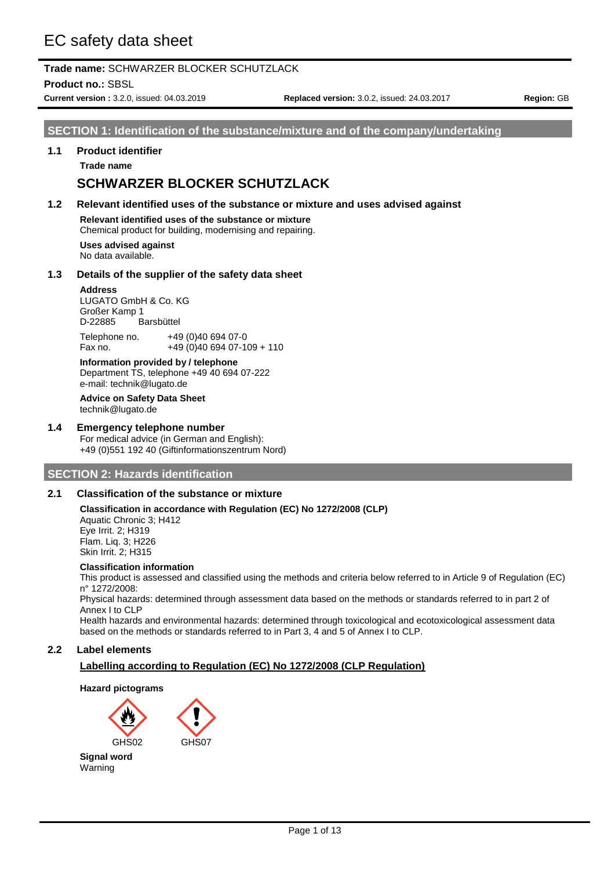# EC safety data sheet

# **Trade name:** SCHWARZER BLOCKER SCHUTZLACK

**Product no.:** SBSL

**Current version :** 3.2.0, issued: 04.03.2019 **Replaced version:** 3.0.2, issued: 24.03.2017 **Region:** GB

**SECTION 1: Identification of the substance/mixture and of the company/undertaking** 

#### **1.1 Product identifier**

**Trade name**

# **SCHWARZER BLOCKER SCHUTZLACK**

**1.2 Relevant identified uses of the substance or mixture and uses advised against**

**Relevant identified uses of the substance or mixture**

Chemical product for building, modernising and repairing.

**Uses advised against** No data available.

### **1.3 Details of the supplier of the safety data sheet**

#### **Address**

LUGATO GmbH & Co. KG Großer Kamp 1<br>D-22885 B Barsbüttel Telephone no. +49 (0)40 694 07-0

Fax no. +49 (0)40 694 07-109 + 110

**Information provided by / telephone** Department TS, telephone +49 40 694 07-222 e-mail: technik@lugato.de

# **Advice on Safety Data Sheet**

technik@lugato.de

# **1.4 Emergency telephone number**

For medical advice (in German and English): +49 (0)551 192 40 (Giftinformationszentrum Nord)

# **SECTION 2: Hazards identification**

## **2.1 Classification of the substance or mixture**

#### **Classification in accordance with Regulation (EC) No 1272/2008 (CLP)**

Aquatic Chronic 3; H412 Eye Irrit. 2; H319 Flam. Liq. 3; H226 Skin Irrit. 2; H315

#### **Classification information**

This product is assessed and classified using the methods and criteria below referred to in Article 9 of Regulation (EC) n° 1272/2008:

Physical hazards: determined through assessment data based on the methods or standards referred to in part 2 of Annex I to CLP

Health hazards and environmental hazards: determined through toxicological and ecotoxicological assessment data based on the methods or standards referred to in Part 3, 4 and 5 of Annex I to CLP.

## **2.2 Label elements**

## **Labelling according to Regulation (EC) No 1272/2008 (CLP Regulation)**

### **Hazard pictograms**

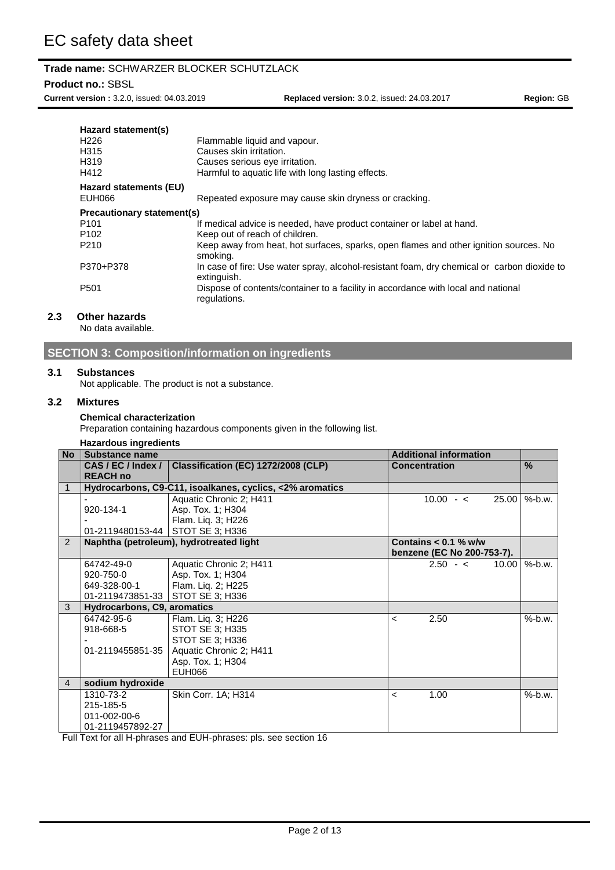## **Product no.:** SBSL

**Current version :** 3.2.0, issued: 04.03.2019 **Replaced version:** 3.0.2, issued: 24.03.2017 **Region:** GB

| Hazard statement(s)<br>H <sub>226</sub><br>H315<br>H319<br>H412 | Flammable liquid and vapour.<br>Causes skin irritation.<br>Causes serious eye irritation.<br>Harmful to aquatic life with long lasting effects. |
|-----------------------------------------------------------------|-------------------------------------------------------------------------------------------------------------------------------------------------|
| Hazard statements (EU)                                          |                                                                                                                                                 |
| EUH066                                                          | Repeated exposure may cause skin dryness or cracking.                                                                                           |
| Precautionary statement(s)                                      |                                                                                                                                                 |
| P <sub>101</sub>                                                | If medical advice is needed, have product container or label at hand.                                                                           |
| P <sub>102</sub>                                                | Keep out of reach of children.                                                                                                                  |
| P <sub>210</sub>                                                | Keep away from heat, hot surfaces, sparks, open flames and other ignition sources. No<br>smoking.                                               |
| P370+P378                                                       | In case of fire: Use water spray, alcohol-resistant foam, dry chemical or carbon dioxide to<br>extinguish.                                      |
| P <sub>501</sub>                                                | Dispose of contents/container to a facility in accordance with local and national<br>regulations.                                               |

# **2.3 Other hazards**

No data available.

# **SECTION 3: Composition/information on ingredients**

#### **3.1 Substances**

Not applicable. The product is not a substance.

### **3.2 Mixtures**

#### **Chemical characterization**

Preparation containing hazardous components given in the following list.

| Substance name   |                                     | <b>Additional information</b>                                                                                                                                                                                              |               |
|------------------|-------------------------------------|----------------------------------------------------------------------------------------------------------------------------------------------------------------------------------------------------------------------------|---------------|
| CAS/EC/Index/    | Classification (EC) 1272/2008 (CLP) | <b>Concentration</b>                                                                                                                                                                                                       | $\frac{9}{6}$ |
| <b>REACH no</b>  |                                     |                                                                                                                                                                                                                            |               |
|                  |                                     |                                                                                                                                                                                                                            |               |
|                  | Aquatic Chronic 2; H411             | $10.00 - c$<br>25.00                                                                                                                                                                                                       | $%$ -b.w.     |
| 920-134-1        | Asp. Tox. 1; H304                   |                                                                                                                                                                                                                            |               |
|                  | Flam. Liq. 3; H226                  |                                                                                                                                                                                                                            |               |
|                  |                                     |                                                                                                                                                                                                                            |               |
|                  |                                     | Contains $< 0.1$ % w/w                                                                                                                                                                                                     |               |
|                  |                                     | benzene (EC No 200-753-7).                                                                                                                                                                                                 |               |
| 64742-49-0       | Aquatic Chronic 2; H411             | $2.50 - c$<br>10.00                                                                                                                                                                                                        | $%$ -b.w.     |
| 920-750-0        | Asp. Tox. 1; H304                   |                                                                                                                                                                                                                            |               |
| 649-328-00-1     | Flam. Lig. 2; H225                  |                                                                                                                                                                                                                            |               |
|                  | STOT SE 3; H336                     |                                                                                                                                                                                                                            |               |
|                  |                                     |                                                                                                                                                                                                                            |               |
| 64742-95-6       | Flam. Liq. 3; H226                  | 2.50<br>$\prec$                                                                                                                                                                                                            | $%$ -b.w.     |
| 918-668-5        | STOT SE 3; H335                     |                                                                                                                                                                                                                            |               |
|                  | STOT SE 3; H336                     |                                                                                                                                                                                                                            |               |
| 01-2119455851-35 | Aquatic Chronic 2; H411             |                                                                                                                                                                                                                            |               |
|                  | Asp. Tox. 1; H304                   |                                                                                                                                                                                                                            |               |
|                  | EUH066                              |                                                                                                                                                                                                                            |               |
| sodium hydroxide |                                     |                                                                                                                                                                                                                            |               |
| 1310-73-2        | Skin Corr. 1A; H314                 | 1.00<br>$\prec$                                                                                                                                                                                                            | $%$ -b.w.     |
| 215-185-5        |                                     |                                                                                                                                                                                                                            |               |
| 011-002-00-6     |                                     |                                                                                                                                                                                                                            |               |
| 01-2119457892-27 |                                     |                                                                                                                                                                                                                            |               |
|                  |                                     | <b>Hazardous ingredients</b><br>Hydrocarbons, C9-C11, isoalkanes, cyclics, <2% aromatics<br>01-2119480153-44 STOT SE 3; H336<br>Naphtha (petroleum), hydrotreated light<br>01-2119473851-33<br>Hydrocarbons, C9, aromatics |               |

Full Text for all H-phrases and EUH-phrases: pls. see section 16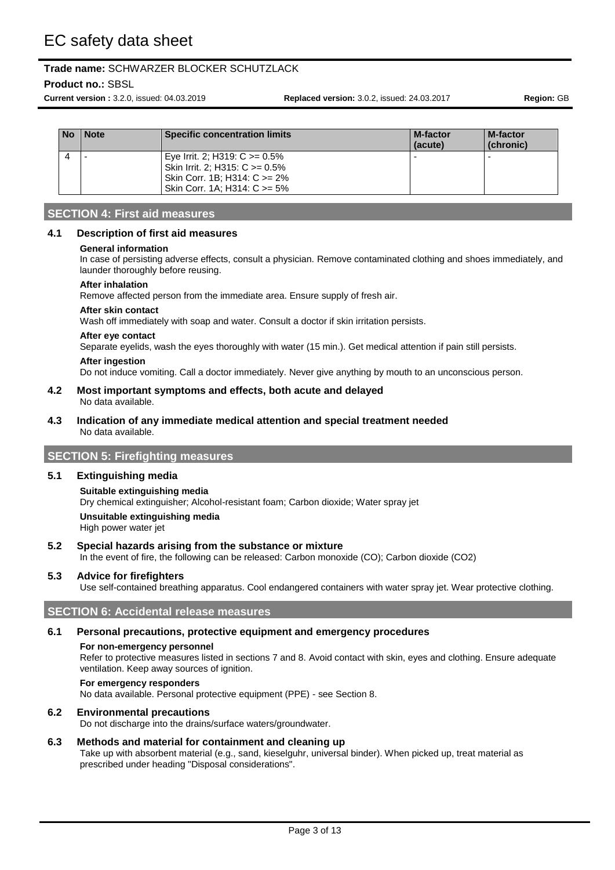# **Product no.:** SBSL

**Current version :** 3.2.0, issued: 04.03.2019 **Replaced version:** 3.0.2, issued: 24.03.2017 **Region:** GB

| No | Note | <b>Specific concentration limits</b>                                                                                                        | <b>M-factor</b><br>(acute) | M-factor<br>(chronic) |
|----|------|---------------------------------------------------------------------------------------------------------------------------------------------|----------------------------|-----------------------|
|    |      | Eye Irrit. 2; H319: $C \ge 0.5\%$<br>Skin Irrit. 2: H315: $C \ge 0.5\%$<br>Skin Corr. 1B; H314: $C \ge 2\%$<br>Skin Corr. 1A: H314: C >= 5% |                            |                       |

# **SECTION 4: First aid measures**

### **4.1 Description of first aid measures**

#### **General information**

In case of persisting adverse effects, consult a physician. Remove contaminated clothing and shoes immediately, and launder thoroughly before reusing.

#### **After inhalation**

Remove affected person from the immediate area. Ensure supply of fresh air.

#### **After skin contact**

Wash off immediately with soap and water. Consult a doctor if skin irritation persists.

#### **After eye contact**

Separate eyelids, wash the eyes thoroughly with water (15 min.). Get medical attention if pain still persists.

#### **After ingestion**

Do not induce vomiting. Call a doctor immediately. Never give anything by mouth to an unconscious person.

#### **4.2 Most important symptoms and effects, both acute and delayed** No data available.

#### **4.3 Indication of any immediate medical attention and special treatment needed** No data available.

# **SECTION 5: Firefighting measures**

### **5.1 Extinguishing media**

## **Suitable extinguishing media**

Dry chemical extinguisher; Alcohol-resistant foam; Carbon dioxide; Water spray jet

**Unsuitable extinguishing media** High power water jet

### **5.2 Special hazards arising from the substance or mixture**

In the event of fire, the following can be released: Carbon monoxide (CO); Carbon dioxide (CO2)

## **5.3 Advice for firefighters**

Use self-contained breathing apparatus. Cool endangered containers with water spray jet. Wear protective clothing.

### **SECTION 6: Accidental release measures**

### **6.1 Personal precautions, protective equipment and emergency procedures**

### **For non-emergency personnel**

Refer to protective measures listed in sections 7 and 8. Avoid contact with skin, eyes and clothing. Ensure adequate ventilation. Keep away sources of ignition.

#### **For emergency responders**

No data available. Personal protective equipment (PPE) - see Section 8.

### **6.2 Environmental precautions**

Do not discharge into the drains/surface waters/groundwater.

### **6.3 Methods and material for containment and cleaning up**

Take up with absorbent material (e.g., sand, kieselguhr, universal binder). When picked up, treat material as prescribed under heading "Disposal considerations".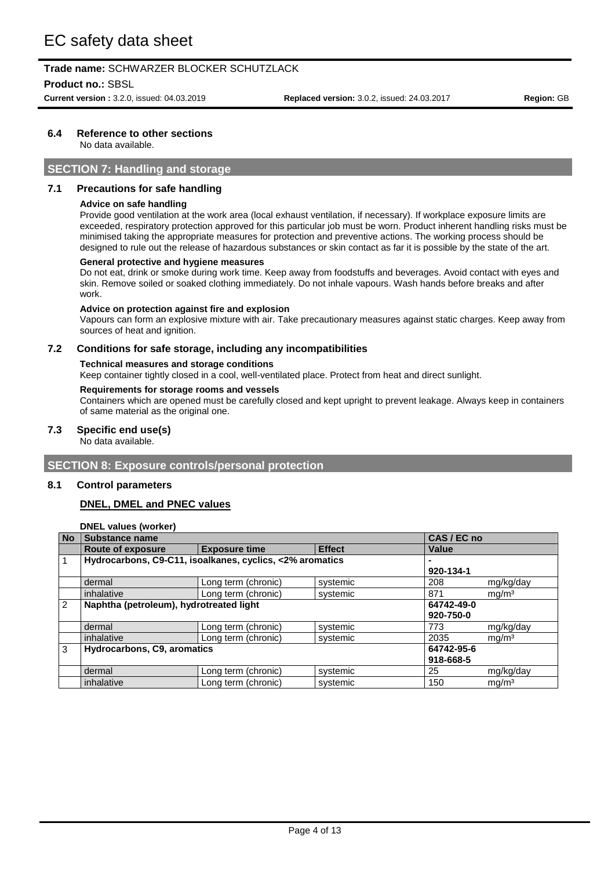**Product no.:** SBSL

**Current version :** 3.2.0, issued: 04.03.2019 **Replaced version:** 3.0.2, issued: 24.03.2017 **Region:** GB

## **6.4 Reference to other sections**

No data available.

# **SECTION 7: Handling and storage**

### **7.1 Precautions for safe handling**

#### **Advice on safe handling**

Provide good ventilation at the work area (local exhaust ventilation, if necessary). If workplace exposure limits are exceeded, respiratory protection approved for this particular job must be worn. Product inherent handling risks must be minimised taking the appropriate measures for protection and preventive actions. The working process should be designed to rule out the release of hazardous substances or skin contact as far it is possible by the state of the art.

#### **General protective and hygiene measures**

Do not eat, drink or smoke during work time. Keep away from foodstuffs and beverages. Avoid contact with eyes and skin. Remove soiled or soaked clothing immediately. Do not inhale vapours. Wash hands before breaks and after work.

#### **Advice on protection against fire and explosion**

Vapours can form an explosive mixture with air. Take precautionary measures against static charges. Keep away from sources of heat and ignition.

#### **7.2 Conditions for safe storage, including any incompatibilities**

#### **Technical measures and storage conditions**

Keep container tightly closed in a cool, well-ventilated place. Protect from heat and direct sunlight.

#### **Requirements for storage rooms and vessels**

Containers which are opened must be carefully closed and kept upright to prevent leakage. Always keep in containers of same material as the original one.

#### **7.3 Specific end use(s)**

No data available.

## **SECTION 8: Exposure controls/personal protection**

#### **8.1 Control parameters**

## **DNEL, DMEL and PNEC values**

**DNEL values (worker)**

| <b>No</b> | <b>Substance name</b>                   |                                                          |               | CAS / EC no |                   |
|-----------|-----------------------------------------|----------------------------------------------------------|---------------|-------------|-------------------|
|           | <b>Route of exposure</b>                | <b>Exposure time</b>                                     | <b>Effect</b> | Value       |                   |
|           |                                         | Hydrocarbons, C9-C11, isoalkanes, cyclics, <2% aromatics |               |             |                   |
|           |                                         |                                                          |               | 920-134-1   |                   |
|           | dermal                                  | Long term (chronic)                                      | systemic      | 208         | mg/kg/day         |
|           | inhalative                              | Long term (chronic)                                      | systemic      | 871         | mg/m <sup>3</sup> |
| 2         | Naphtha (petroleum), hydrotreated light |                                                          |               | 64742-49-0  |                   |
|           |                                         |                                                          |               | 920-750-0   |                   |
|           | dermal                                  | Long term (chronic)                                      | systemic      | 773         | mg/kg/day         |
|           | inhalative                              | Long term (chronic)                                      | systemic      | 2035        | mg/m <sup>3</sup> |
| 3         | Hydrocarbons, C9, aromatics             |                                                          |               | 64742-95-6  |                   |
|           |                                         |                                                          |               | 918-668-5   |                   |
|           | dermal                                  | Long term (chronic)                                      | systemic      | 25          | mg/kg/day         |
|           | inhalative                              | Long term (chronic)                                      | systemic      | 150         | mq/m <sup>3</sup> |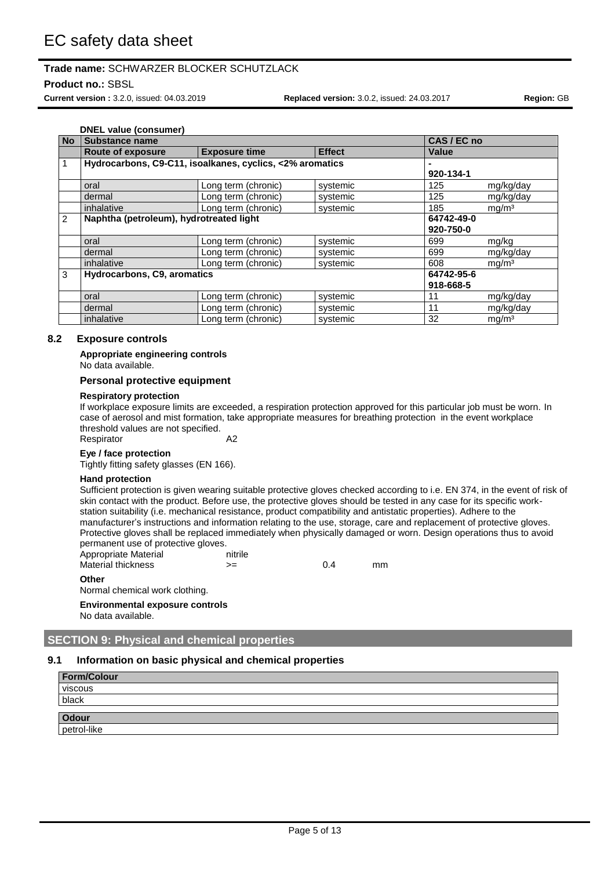**Product no.:** SBSL

**Current version :** 3.2.0, issued: 04.03.2019 **Replaced version:** 3.0.2, issued: 24.03.2017 **Region:** GB

|           | <b>DNEL value (consumer)</b>                             |                      |               |             |                   |
|-----------|----------------------------------------------------------|----------------------|---------------|-------------|-------------------|
| <b>No</b> | <b>Substance name</b>                                    |                      |               | CAS / EC no |                   |
|           | <b>Route of exposure</b>                                 | <b>Exposure time</b> | <b>Effect</b> | Value       |                   |
| 1         | Hydrocarbons, C9-C11, isoalkanes, cyclics, <2% aromatics |                      |               |             |                   |
|           |                                                          |                      |               | 920-134-1   |                   |
|           | oral                                                     | Long term (chronic)  | systemic      | 125         | mg/kg/day         |
|           | dermal                                                   | Long term (chronic)  | systemic      | 125         | mg/kg/day         |
|           | inhalative                                               | Long term (chronic)  | systemic      | 185         | mg/m <sup>3</sup> |
| 2         | Naphtha (petroleum), hydrotreated light                  |                      |               | 64742-49-0  |                   |
|           |                                                          |                      |               | 920-750-0   |                   |
|           | oral                                                     | Long term (chronic)  | systemic      | 699         | mg/kg             |
|           | dermal                                                   | Long term (chronic)  | systemic      | 699         | mg/kg/day         |
|           | inhalative                                               | Long term (chronic)  | systemic      | 608         | mg/m <sup>3</sup> |
| 3         | Hydrocarbons, C9, aromatics                              |                      |               | 64742-95-6  |                   |
|           |                                                          |                      |               | 918-668-5   |                   |
|           | oral                                                     | Long term (chronic)  | systemic      | 11          | mg/kg/day         |
|           | dermal                                                   | Long term (chronic)  | systemic      | 11          | mg/kg/day         |
|           | inhalative                                               | Long term (chronic)  | systemic      | 32          | mg/m <sup>3</sup> |

### **8.2 Exposure controls**

#### **Appropriate engineering controls**

No data available.

#### **Personal protective equipment**

#### **Respiratory protection**

If workplace exposure limits are exceeded, a respiration protection approved for this particular job must be worn. In case of aerosol and mist formation, take appropriate measures for breathing protection in the event workplace threshold values are not specified.

Respirator A2

#### **Eye / face protection**

Tightly fitting safety glasses (EN 166).

#### **Hand protection**

Sufficient protection is given wearing suitable protective gloves checked according to i.e. EN 374, in the event of risk of skin contact with the product. Before use, the protective gloves should be tested in any case for its specific workstation suitability (i.e. mechanical resistance, product compatibility and antistatic properties). Adhere to the manufacturer's instructions and information relating to the use, storage, care and replacement of protective gloves. Protective gloves shall be replaced immediately when physically damaged or worn. Design operations thus to avoid permanent use of protective gloves.

| Appropriate Material | nitrile |     |    |
|----------------------|---------|-----|----|
| Material thickness   | >=      | 0.4 | mm |
| Other                |         |     |    |

Normal chemical work clothing.

# **Environmental exposure controls**

No data available.

## **SECTION 9: Physical and chemical properties**

## **9.1 Information on basic physical and chemical properties**

| Form/Colour |  |
|-------------|--|
| viscous     |  |
| black       |  |
|             |  |
| Odour       |  |
| petrol-like |  |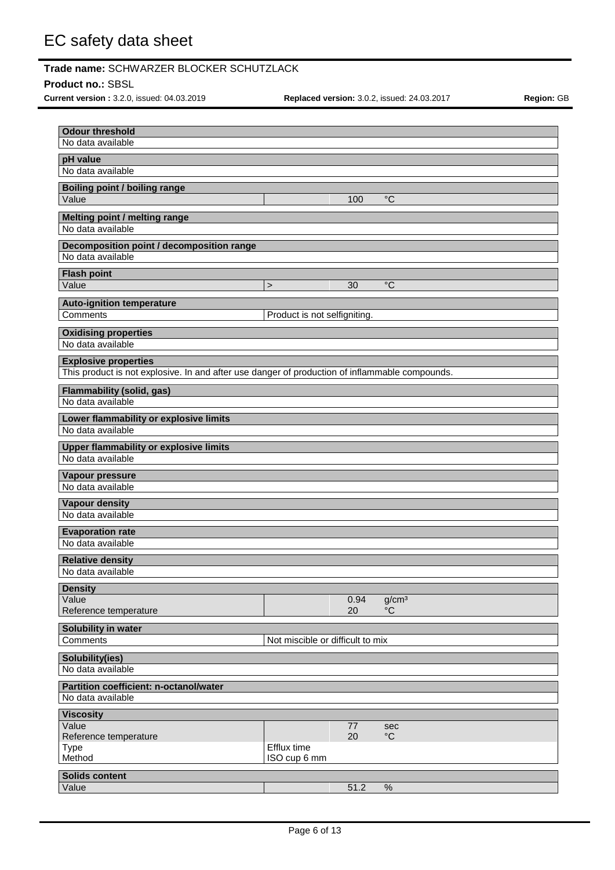#### **Product no.:** SBSL

**Current version :** 3.2.0, issued: 04.03.2019 **Replaced version:** 3.0.2, issued: 24.03.2017 **Region:** GB

| <b>Odour threshold</b><br>No data available                                                    |                                  |            |                                  |
|------------------------------------------------------------------------------------------------|----------------------------------|------------|----------------------------------|
| pH value                                                                                       |                                  |            |                                  |
| No data available                                                                              |                                  |            |                                  |
| <b>Boiling point / boiling range</b>                                                           |                                  |            |                                  |
| Value                                                                                          |                                  | 100        | $^{\circ}C$                      |
| Melting point / melting range                                                                  |                                  |            |                                  |
| No data available                                                                              |                                  |            |                                  |
| Decomposition point / decomposition range                                                      |                                  |            |                                  |
| No data available                                                                              |                                  |            |                                  |
| <b>Flash point</b>                                                                             |                                  |            |                                  |
| Value                                                                                          | $\geq$                           | 30         | $\overline{C}$                   |
| <b>Auto-ignition temperature</b>                                                               |                                  |            |                                  |
| Comments                                                                                       | Product is not selfigniting.     |            |                                  |
| <b>Oxidising properties</b>                                                                    |                                  |            |                                  |
| No data available                                                                              |                                  |            |                                  |
| <b>Explosive properties</b>                                                                    |                                  |            |                                  |
| This product is not explosive. In and after use danger of production of inflammable compounds. |                                  |            |                                  |
| <b>Flammability (solid, gas)</b>                                                               |                                  |            |                                  |
| No data available                                                                              |                                  |            |                                  |
| Lower flammability or explosive limits                                                         |                                  |            |                                  |
| No data available                                                                              |                                  |            |                                  |
| <b>Upper flammability or explosive limits</b>                                                  |                                  |            |                                  |
| No data available                                                                              |                                  |            |                                  |
| Vapour pressure                                                                                |                                  |            |                                  |
| No data available                                                                              |                                  |            |                                  |
| <b>Vapour density</b>                                                                          |                                  |            |                                  |
| No data available                                                                              |                                  |            |                                  |
| <b>Evaporation rate</b>                                                                        |                                  |            |                                  |
| No data available                                                                              |                                  |            |                                  |
| <b>Relative density</b>                                                                        |                                  |            |                                  |
| No data available                                                                              |                                  |            |                                  |
| <b>Density</b>                                                                                 |                                  |            |                                  |
| Value<br>Reference temperature                                                                 |                                  | 0.94<br>20 | g/cm <sup>3</sup><br>$^{\circ}C$ |
|                                                                                                |                                  |            |                                  |
| Solubility in water<br>Comments                                                                | Not miscible or difficult to mix |            |                                  |
|                                                                                                |                                  |            |                                  |
| Solubility(ies)<br>No data available                                                           |                                  |            |                                  |
|                                                                                                |                                  |            |                                  |
| Partition coefficient: n-octanol/water<br>No data available                                    |                                  |            |                                  |
|                                                                                                |                                  |            |                                  |
| <b>Viscosity</b><br>Value                                                                      |                                  | 77         | sec                              |
| Reference temperature                                                                          |                                  | 20         | $^{\circ}C$                      |
| <b>Type</b>                                                                                    | Efflux time                      |            |                                  |
| Method                                                                                         | ISO cup 6 mm                     |            |                                  |
| <b>Solids content</b>                                                                          |                                  |            |                                  |
| Value                                                                                          |                                  | 51.2       | $\%$                             |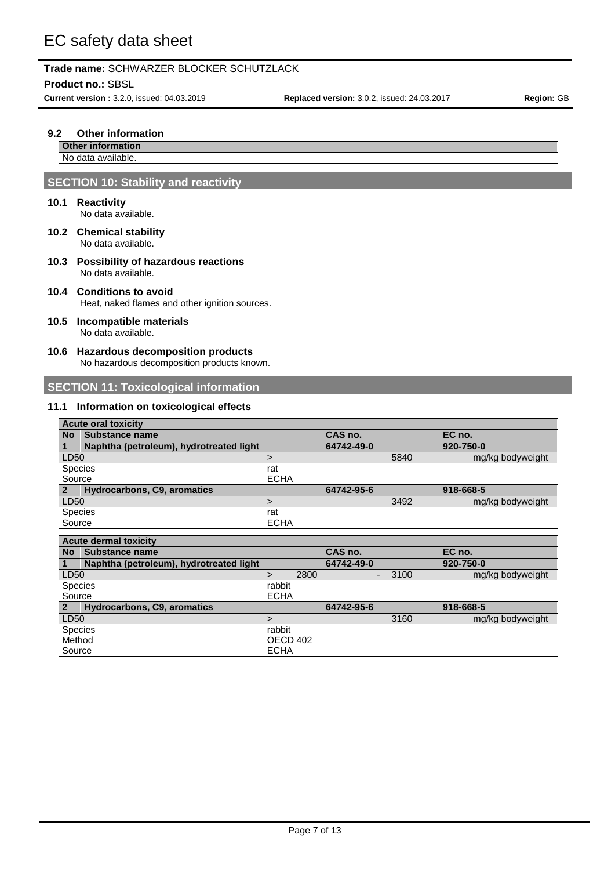**Product no.:** SBSL

**Current version :** 3.2.0, issued: 04.03.2019 **Replaced version:** 3.0.2, issued: 24.03.2017 **Region:** GB

### **9.2 Other information**

#### **Other information** No data available.

# **SECTION 10: Stability and reactivity**

### **10.1 Reactivity**

No data available.

- **10.2 Chemical stability** No data available.
- **10.3 Possibility of hazardous reactions** No data available.

## **10.4 Conditions to avoid** Heat, naked flames and other ignition sources.

- **10.5 Incompatible materials** No data available.
- **10.6 Hazardous decomposition products** No hazardous decomposition products known.

# **SECTION 11: Toxicological information**

### **11.1 Information on toxicological effects**

|                | <b>Acute oral toxicity</b>              |             |            |      |                  |
|----------------|-----------------------------------------|-------------|------------|------|------------------|
| <b>No</b>      | <b>Substance name</b>                   |             | CAS no.    |      | EC no.           |
|                | Naphtha (petroleum), hydrotreated light |             | 64742-49-0 |      | 920-750-0        |
| LD50           |                                         |             |            | 5840 | mg/kg bodyweight |
| <b>Species</b> |                                         | rat         |            |      |                  |
| Source         |                                         | <b>ECHA</b> |            |      |                  |
|                | Hydrocarbons, C9, aromatics             |             | 64742-95-6 |      | 918-668-5        |
| LD50           |                                         |             |            | 3492 | mg/kg bodyweight |
| Species        |                                         | rat         |            |      |                  |
| Source         |                                         | <b>ECHA</b> |            |      |                  |
|                | Antipala demond touted to               |             |            |      |                  |

|                | Acute definal toxicity                  |             |      |            |      |                  |
|----------------|-----------------------------------------|-------------|------|------------|------|------------------|
| <b>No</b>      | <b>Substance name</b>                   |             |      | CAS no.    |      | EC no.           |
| $\blacksquare$ | Naphtha (petroleum), hydrotreated light |             |      | 64742-49-0 |      | 920-750-0        |
| LD50           |                                         |             | 2800 |            | 3100 | mg/kg bodyweight |
| <b>Species</b> |                                         | rabbit      |      |            |      |                  |
| Source         |                                         | <b>ECHA</b> |      |            |      |                  |
| $\overline{2}$ | Hydrocarbons, C9, aromatics             |             |      | 64742-95-6 |      | 918-668-5        |
| LD50           |                                         |             |      |            | 3160 | mg/kg bodyweight |
| <b>Species</b> |                                         | rabbit      |      |            |      |                  |
| Method         |                                         | OECD 402    |      |            |      |                  |
| Source         |                                         | <b>ECHA</b> |      |            |      |                  |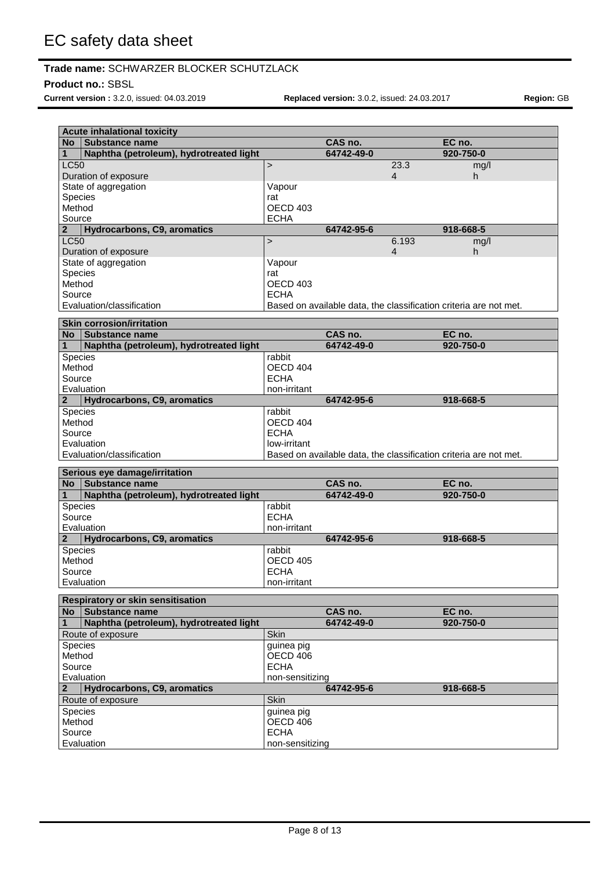## **Product no.:** SBSL

**Current version :** 3.2.0, issued: 04.03.2019 **Replaced version:** 3.0.2, issued: 24.03.2017 **Region:** GB

|                          | <b>Acute inhalational toxicity</b>               |                         |            |       |                                                                   |
|--------------------------|--------------------------------------------------|-------------------------|------------|-------|-------------------------------------------------------------------|
| No l                     | <b>Substance name</b>                            |                         | CAS no.    |       | EC no.                                                            |
| 1                        | Naphtha (petroleum), hydrotreated light          |                         | 64742-49-0 |       | 920-750-0                                                         |
| <b>LC50</b>              |                                                  | $\,$                    |            | 23.3  | mg/l                                                              |
|                          | Duration of exposure                             |                         |            | 4     | h                                                                 |
|                          | State of aggregation                             | Vapour                  |            |       |                                                                   |
|                          | Species                                          | rat                     |            |       |                                                                   |
| Method                   |                                                  | OECD 403                |            |       |                                                                   |
| Source<br>$\overline{2}$ | Hydrocarbons, C9, aromatics                      | <b>ECHA</b>             | 64742-95-6 |       | 918-668-5                                                         |
| <b>LC50</b>              |                                                  | $\,>$                   |            | 6.193 | mg/l                                                              |
|                          | Duration of exposure                             |                         |            | 4     | h                                                                 |
|                          | State of aggregation                             | Vapour                  |            |       |                                                                   |
|                          | Species                                          | rat                     |            |       |                                                                   |
| Method                   |                                                  | OECD 403                |            |       |                                                                   |
| Source                   |                                                  | <b>ECHA</b>             |            |       |                                                                   |
|                          | Evaluation/classification                        |                         |            |       | Based on available data, the classification criteria are not met. |
|                          | <b>Skin corrosion/irritation</b>                 |                         |            |       |                                                                   |
| <b>No</b>                | <b>Substance name</b>                            |                         | CAS no.    |       | EC no.                                                            |
| 1                        | Naphtha (petroleum), hydrotreated light          |                         | 64742-49-0 |       | 920-750-0                                                         |
|                          | Species                                          | rabbit                  |            |       |                                                                   |
| Method                   |                                                  | OECD 404                |            |       |                                                                   |
| Source                   |                                                  | <b>FCHA</b>             |            |       |                                                                   |
|                          | Evaluation                                       | non-irritant            |            |       |                                                                   |
| $\mathbf{2}$             | <b>Hydrocarbons, C9, aromatics</b>               |                         | 64742-95-6 |       | 918-668-5                                                         |
|                          | Species                                          | rabbit                  |            |       |                                                                   |
| Method                   |                                                  | OECD 404                |            |       |                                                                   |
| Source                   |                                                  | <b>ECHA</b>             |            |       |                                                                   |
|                          | Evaluation                                       | low-irritant            |            |       |                                                                   |
|                          | Evaluation/classification                        |                         |            |       | Based on available data, the classification criteria are not met. |
|                          | Serious eye damage/irritation                    |                         |            |       |                                                                   |
| <b>No</b>                | <b>Substance name</b>                            |                         | CAS no.    |       | EC no.                                                            |
| 1                        | Naphtha (petroleum), hydrotreated light          |                         | 64742-49-0 |       | 920-750-0                                                         |
|                          | Species                                          | rabbit                  |            |       |                                                                   |
| Source                   |                                                  | <b>ECHA</b>             |            |       |                                                                   |
|                          | Evaluation                                       | non-irritant            |            |       |                                                                   |
| $\mathbf{2}$             | Hydrocarbons, C9, aromatics                      |                         | 64742-95-6 |       | 918-668-5                                                         |
| Species                  |                                                  | rabbit                  |            |       |                                                                   |
| Method                   |                                                  | OECD 405<br><b>ECHA</b> |            |       |                                                                   |
| Source                   | Evaluation                                       | non-irritant            |            |       |                                                                   |
|                          |                                                  |                         |            |       |                                                                   |
|                          | <b>Respiratory or skin sensitisation</b>         |                         |            |       |                                                                   |
| <b>No</b>                | Substance name                                   |                         | CAS no.    |       | EC no.                                                            |
| $\mathbf{1}$             | Naphtha (petroleum), hydrotreated light          |                         | 64742-49-0 |       | 920-750-0                                                         |
|                          | Route of exposure                                | Skin                    |            |       |                                                                   |
|                          | Species                                          | guinea pig              |            |       |                                                                   |
| Method                   |                                                  | OECD 406<br><b>ECHA</b> |            |       |                                                                   |
| Source                   |                                                  |                         |            |       |                                                                   |
| $\mathbf{2}$             | Evaluation<br><b>Hydrocarbons, C9, aromatics</b> | non-sensitizing         | 64742-95-6 |       | 918-668-5                                                         |
|                          | Route of exposure                                | Skin                    |            |       |                                                                   |
|                          | Species                                          | guinea pig              |            |       |                                                                   |
| Method                   |                                                  | OECD 406                |            |       |                                                                   |
| Source                   |                                                  | <b>ECHA</b>             |            |       |                                                                   |
|                          | Evaluation                                       | non-sensitizing         |            |       |                                                                   |
|                          |                                                  |                         |            |       |                                                                   |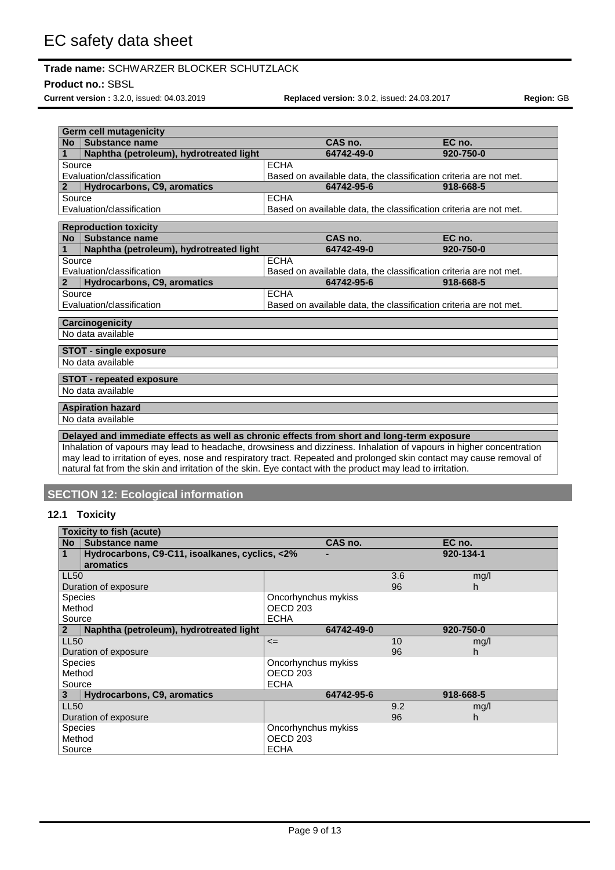## **Product no.:** SBSL

**Current version :** 3.2.0, issued: 04.03.2019 **Replaced version:** 3.0.2, issued: 24.03.2017 **Region:** GB

| <b>No</b>      | l Substance name                                                                                                                                                                                                                            | CAS no.                                                           | EC no.    |
|----------------|---------------------------------------------------------------------------------------------------------------------------------------------------------------------------------------------------------------------------------------------|-------------------------------------------------------------------|-----------|
| 1              | Naphtha (petroleum), hydrotreated light                                                                                                                                                                                                     | 64742-49-0                                                        | 920-750-0 |
| Source         |                                                                                                                                                                                                                                             | <b>ECHA</b>                                                       |           |
|                | Evaluation/classification                                                                                                                                                                                                                   | Based on available data, the classification criteria are not met. |           |
| $\overline{2}$ | <b>Hydrocarbons, C9, aromatics</b>                                                                                                                                                                                                          | 64742-95-6                                                        | 918-668-5 |
| Source         |                                                                                                                                                                                                                                             | <b>ECHA</b>                                                       |           |
|                | Evaluation/classification                                                                                                                                                                                                                   | Based on available data, the classification criteria are not met. |           |
|                | <b>Reproduction toxicity</b>                                                                                                                                                                                                                |                                                                   |           |
| <b>No</b>      | Substance name                                                                                                                                                                                                                              | CAS no.                                                           | EC no.    |
| 1              | Naphtha (petroleum), hydrotreated light                                                                                                                                                                                                     | 64742-49-0                                                        | 920-750-0 |
| Source         |                                                                                                                                                                                                                                             | <b>ECHA</b>                                                       |           |
|                | Evaluation/classification                                                                                                                                                                                                                   | Based on available data, the classification criteria are not met. |           |
| $\overline{2}$ | <b>Hydrocarbons, C9, aromatics</b>                                                                                                                                                                                                          | 64742-95-6                                                        | 918-668-5 |
| Source         |                                                                                                                                                                                                                                             | <b>ECHA</b>                                                       |           |
|                | Evaluation/classification                                                                                                                                                                                                                   | Based on available data, the classification criteria are not met. |           |
|                |                                                                                                                                                                                                                                             |                                                                   |           |
|                | <b>Carcinogenicity</b>                                                                                                                                                                                                                      |                                                                   |           |
|                | No data available                                                                                                                                                                                                                           |                                                                   |           |
|                |                                                                                                                                                                                                                                             |                                                                   |           |
|                | <b>STOT - single exposure</b>                                                                                                                                                                                                               |                                                                   |           |
|                | No data available                                                                                                                                                                                                                           |                                                                   |           |
|                | <b>STOT - repeated exposure</b>                                                                                                                                                                                                             |                                                                   |           |
|                | No data available                                                                                                                                                                                                                           |                                                                   |           |
|                | <b>Aspiration hazard</b>                                                                                                                                                                                                                    |                                                                   |           |
|                | No data available                                                                                                                                                                                                                           |                                                                   |           |
|                |                                                                                                                                                                                                                                             |                                                                   |           |
|                | Delayed and immediate effects as well as chronic effects from short and long-term exposure                                                                                                                                                  |                                                                   |           |
|                | Inhalation of vapours may lead to headache, drowsiness and dizziness. Inhalation of vapours in higher concentration<br>may lead to irritation of eyes, nose and respiratory tract. Repeated and prolonged skin contact may cause removal of |                                                                   |           |
|                | natural fat from the skin and irritation of the skin. Eye contact with the product may lead to irritation.                                                                                                                                  |                                                                   |           |

# **12.1 Toxicity**

| <b>Toxicity to fish (acute)</b> |                                                |                     |            |     |           |  |
|---------------------------------|------------------------------------------------|---------------------|------------|-----|-----------|--|
| <b>No</b>                       | Substance name                                 |                     | CAS no.    |     | EC no.    |  |
|                                 | Hydrocarbons, C9-C11, isoalkanes, cyclics, <2% |                     |            |     | 920-134-1 |  |
|                                 | aromatics                                      |                     |            |     |           |  |
| <b>LL50</b>                     |                                                |                     |            | 3.6 | mg/l      |  |
|                                 | Duration of exposure                           |                     |            | 96  | h         |  |
| <b>Species</b>                  |                                                | Oncorhynchus mykiss |            |     |           |  |
| Method                          |                                                | OECD <sub>203</sub> |            |     |           |  |
| Source<br><b>ECHA</b>           |                                                |                     |            |     |           |  |
| 2                               | Naphtha (petroleum), hydrotreated light        |                     | 64742-49-0 |     | 920-750-0 |  |
| <b>LL50</b>                     |                                                | $\leq$              |            | 10  | mg/l      |  |
|                                 | Duration of exposure                           |                     |            | 96  | h         |  |
| <b>Species</b>                  |                                                | Oncorhynchus mykiss |            |     |           |  |
| Method                          |                                                | OECD <sub>203</sub> |            |     |           |  |
| Source                          |                                                | <b>ECHA</b>         |            |     |           |  |
| 3.                              | <b>Hydrocarbons, C9, aromatics</b>             |                     | 64742-95-6 |     | 918-668-5 |  |
| <b>LL50</b>                     |                                                |                     |            | 9.2 | mg/l      |  |
| Duration of exposure            |                                                |                     |            | 96  | h         |  |
| <b>Species</b>                  |                                                | Oncorhynchus mykiss |            |     |           |  |
| Method                          |                                                | <b>OECD 203</b>     |            |     |           |  |
| Source                          |                                                | <b>ECHA</b>         |            |     |           |  |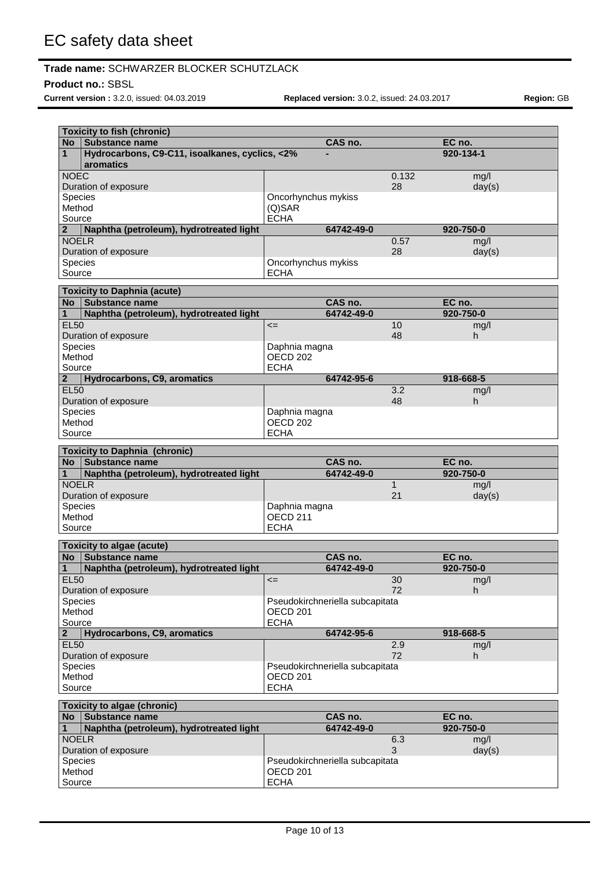## **Product no.:** SBSL

**Current version :** 3.2.0, issued: 04.03.2019 **Replaced version:** 3.0.2, issued: 24.03.2017 **Region:** GB

٦

|                | <b>Toxicity to fish (chronic)</b>              |                                 |            |               |           |        |
|----------------|------------------------------------------------|---------------------------------|------------|---------------|-----------|--------|
|                | No Substance name                              |                                 | CAS no.    |               | EC no.    |        |
| $\mathbf{1}$   | Hydrocarbons, C9-C11, isoalkanes, cyclics, <2% |                                 |            |               | 920-134-1 |        |
|                | aromatics                                      |                                 |            |               |           |        |
| <b>NOEC</b>    |                                                |                                 |            | 0.132         | mq/l      |        |
|                | Duration of exposure                           |                                 |            | 28            |           | day(s) |
|                | <b>Species</b>                                 | Oncorhynchus mykiss             |            |               |           |        |
| Method         |                                                | $(Q)$ SAR                       |            |               |           |        |
| Source         |                                                | <b>ECHA</b>                     |            |               |           |        |
| $\mathbf{2}$   | Naphtha (petroleum), hydrotreated light        |                                 | 64742-49-0 |               | 920-750-0 |        |
|                | <b>NOFLR</b>                                   |                                 |            | 0.57<br>28    | ma/l      |        |
|                | Duration of exposure<br><b>Species</b>         | Oncorhynchus mykiss             |            |               |           | day(s) |
| Source         |                                                | <b>ECHA</b>                     |            |               |           |        |
|                |                                                |                                 |            |               |           |        |
|                | <b>Toxicity to Daphnia (acute)</b>             |                                 |            |               |           |        |
|                | No Substance name                              |                                 | CAS no.    |               | EC no.    |        |
| $\mathbf{1}$   | Naphtha (petroleum), hydrotreated light        |                                 | 64742-49-0 |               | 920-750-0 |        |
| <b>EL50</b>    |                                                | $\leq$                          |            | 10            | mg/l      |        |
|                | Duration of exposure                           |                                 |            | 48            | h.        |        |
|                | <b>Species</b>                                 | Daphnia magna                   |            |               |           |        |
| Method         |                                                | <b>OECD 202</b>                 |            |               |           |        |
| Source         |                                                | <b>ECHA</b>                     |            |               |           |        |
|                | 2 Hydrocarbons, C9, aromatics                  |                                 | 64742-95-6 |               | 918-668-5 |        |
| <b>EL50</b>    |                                                |                                 |            | 3.2           | mg/l      |        |
|                | Duration of exposure<br><b>Species</b>         | Daphnia magna                   |            | 48            | h.        |        |
| Method         |                                                | <b>OECD 202</b>                 |            |               |           |        |
| Source         |                                                | <b>ECHA</b>                     |            |               |           |        |
|                |                                                |                                 |            |               |           |        |
|                | <b>Toxicity to Daphnia (chronic)</b>           |                                 |            |               |           |        |
|                | No Substance name                              |                                 | CAS no.    |               | EC no.    |        |
| $\mathbf{1}$   | Naphtha (petroleum), hydrotreated light        |                                 | 64742-49-0 |               | 920-750-0 |        |
|                | <b>NOELR</b>                                   |                                 |            | $\mathbf{1}$  | mg/l      |        |
|                | Duration of exposure                           |                                 |            | 21            |           | day(s) |
|                | Species                                        | Daphnia magna                   |            |               |           |        |
| Method         |                                                | <b>OECD 211</b>                 |            |               |           |        |
| Source         |                                                | <b>ECHA</b>                     |            |               |           |        |
|                | <b>Toxicity to algae (acute)</b>               |                                 |            |               |           |        |
|                | No Substance name                              |                                 | CAS no.    |               | EC no.    |        |
| $\mathbf 1$    | Naphtha (petroleum), hydrotreated light        |                                 | 64742-49-0 |               | 920-750-0 |        |
| <b>EL50</b>    |                                                | $\leq$                          |            | 30            | mg/l      |        |
|                | Duration of exposure                           |                                 |            | 72            | h.        |        |
|                | <b>Species</b>                                 | Pseudokirchneriella subcapitata |            |               |           |        |
| Method         |                                                | OECD <sub>201</sub>             |            |               |           |        |
| Source         |                                                | <b>ECHA</b>                     |            |               |           |        |
| $\overline{2}$ | Hydrocarbons, C9, aromatics                    |                                 | 64742-95-6 |               | 918-668-5 |        |
| F1F2           |                                                |                                 |            | $\sim$ $\sim$ |           |        |

| <b>Hydrocarbons, C9, aromatics</b> | 64742-95-6                      | 918-668-5 |  |
|------------------------------------|---------------------------------|-----------|--|
| EL <sub>50</sub>                   | 2.9                             | mq/l      |  |
| Duration of exposure               | 72                              |           |  |
| Species                            | Pseudokirchneriella subcapitata |           |  |
| Method                             | OECD 201                        |           |  |
| Source                             | ECHA                            |           |  |
|                                    |                                 |           |  |
| <b>Toxicity to algae (chronic)</b> |                                 |           |  |

|                      | TUXIUILY LU AIYAU (UHIUHIU)             |                                 |     |           |  |
|----------------------|-----------------------------------------|---------------------------------|-----|-----------|--|
| <b>No</b>            | <b>Substance name</b>                   | CAS no.                         |     | EC no.    |  |
|                      | Naphtha (petroleum), hydrotreated light | 64742-49-0                      |     | 920-750-0 |  |
| <b>NOELR</b>         |                                         |                                 | 6.3 | mg/l      |  |
| Duration of exposure |                                         |                                 |     | day(s)    |  |
| <b>Species</b>       |                                         | Pseudokirchneriella subcapitata |     |           |  |
| Method               |                                         | OECD 201                        |     |           |  |
| Source               |                                         | <b>ECHA</b>                     |     |           |  |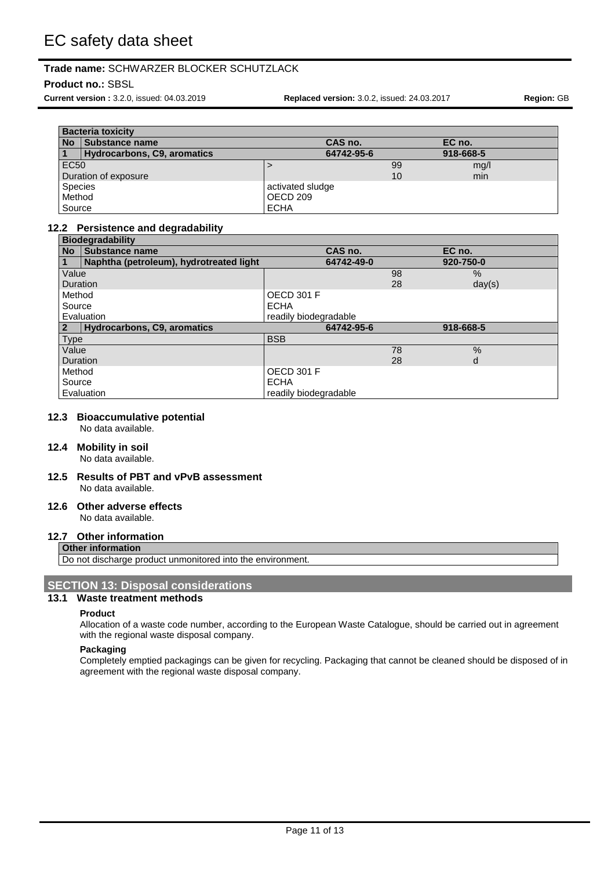## **Product no.:** SBSL

**Current version :** 3.2.0, issued: 04.03.2019 **Replaced version:** 3.0.2, issued: 24.03.2017 **Region:** GB

|                      | <b>Bacteria toxicity</b>    |                  |            |    |           |  |
|----------------------|-----------------------------|------------------|------------|----|-----------|--|
| <b>No</b>            | Substance name              |                  | CAS no.    |    | EC no.    |  |
|                      | Hydrocarbons, C9, aromatics |                  | 64742-95-6 |    | 918-668-5 |  |
| <b>EC50</b>          |                             |                  |            | 99 | mg/l      |  |
| Duration of exposure |                             |                  |            | 10 | min       |  |
| <b>Species</b>       |                             | activated sludge |            |    |           |  |
| Method               |                             | OECD 209         |            |    |           |  |
| Source               |                             | <b>ECHA</b>      |            |    |           |  |

### **12.2 Persistence and degradability**

|                 | <b>Biodegradability</b>                 |                       |    |           |  |
|-----------------|-----------------------------------------|-----------------------|----|-----------|--|
| No              | <b>Substance name</b>                   | CAS no.               |    | EC no.    |  |
|                 | Naphtha (petroleum), hydrotreated light | 64742-49-0            |    | 920-750-0 |  |
| Value           |                                         |                       | 98 | $\%$      |  |
| <b>Duration</b> |                                         |                       | 28 | day(s)    |  |
| Method          |                                         | <b>OECD 301 F</b>     |    |           |  |
| Source          |                                         | ECHA                  |    |           |  |
|                 | Evaluation                              | readily biodegradable |    |           |  |
|                 | Hydrocarbons, C9, aromatics             | 64742-95-6            |    | 918-668-5 |  |
| <b>Type</b>     |                                         | <b>BSB</b>            |    |           |  |
| Value           |                                         |                       | 78 | $\%$      |  |
| <b>Duration</b> |                                         |                       | 28 | d         |  |
| Method          |                                         | OECD 301 F            |    |           |  |
| Source          |                                         | <b>ECHA</b>           |    |           |  |
| Evaluation      |                                         | readily biodegradable |    |           |  |

# **12.3 Bioaccumulative potential**

No data available.

## **12.4 Mobility in soil**

No data available.

#### **12.5 Results of PBT and vPvB assessment** No data available.

#### **12.6 Other adverse effects** No data available.

# **12.7 Other information**

### **Other information**

Do not discharge product unmonitored into the environment.

## **SECTION 13: Disposal considerations**

# **13.1 Waste treatment methods**

#### **Product**

Allocation of a waste code number, according to the European Waste Catalogue, should be carried out in agreement with the regional waste disposal company.

#### **Packaging**

Completely emptied packagings can be given for recycling. Packaging that cannot be cleaned should be disposed of in agreement with the regional waste disposal company.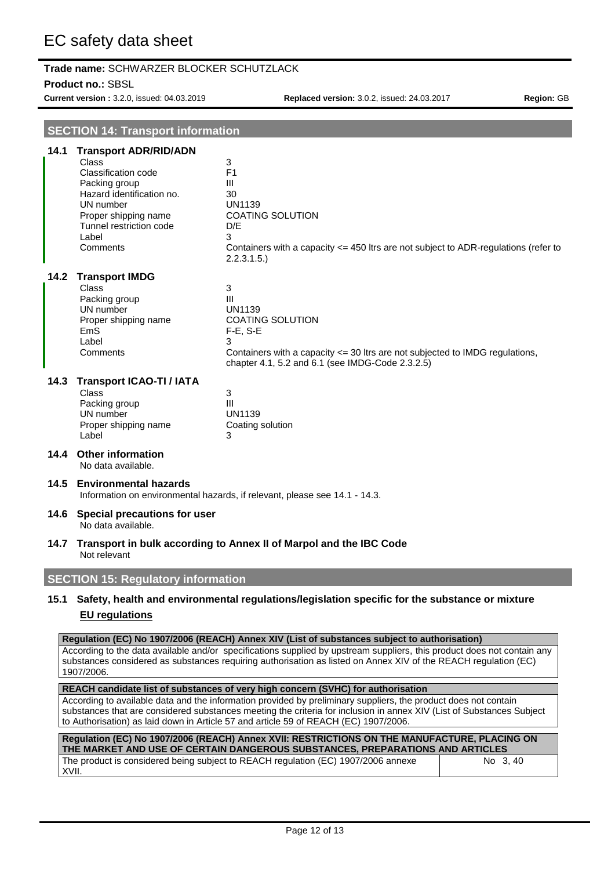## **Product no.:** SBSL

**Current version :** 3.2.0, issued: 04.03.2019 **Replaced version:** 3.0.2, issued: 24.03.2017 **Region:** GB

# **SECTION 14: Transport information**

| 14.1 | <b>Transport ADR/RID/ADN</b><br>Class<br><b>Classification code</b><br>Packing group<br>Hazard identification no.<br>UN number<br>Proper shipping name<br>Tunnel restriction code<br>Label<br>Comments | 3<br>F <sub>1</sub><br>Ш<br>30<br><b>UN1139</b><br><b>COATING SOLUTION</b><br>D/E<br>3<br>Containers with a capacity $\leq$ 450 ltrs are not subject to ADR-regulations (refer to<br>2.2.3.1.5.                                                                                                                                                                                                                      |
|------|--------------------------------------------------------------------------------------------------------------------------------------------------------------------------------------------------------|----------------------------------------------------------------------------------------------------------------------------------------------------------------------------------------------------------------------------------------------------------------------------------------------------------------------------------------------------------------------------------------------------------------------|
| 14.2 | <b>Transport IMDG</b><br>Class<br>Packing group<br>UN number<br>Proper shipping name<br><b>EmS</b><br>Label<br>Comments                                                                                | 3<br>Ш<br><b>UN1139</b><br><b>COATING SOLUTION</b><br>$F-E$ , S-E<br>3<br>Containers with a capacity <= 30 ltrs are not subjected to IMDG regulations,<br>chapter 4.1, 5.2 and 6.1 (see IMDG-Code 2.3.2.5)                                                                                                                                                                                                           |
| 14.3 | <b>Transport ICAO-TI / IATA</b><br>Class<br>Packing group<br>UN number<br>Proper shipping name<br>Label                                                                                                | 3<br>Ш<br><b>UN1139</b><br>Coating solution<br>3                                                                                                                                                                                                                                                                                                                                                                     |
|      | 14.4 Other information<br>No data available.                                                                                                                                                           |                                                                                                                                                                                                                                                                                                                                                                                                                      |
| 14.5 | <b>Environmental hazards</b>                                                                                                                                                                           | Information on environmental hazards, if relevant, please see 14.1 - 14.3.                                                                                                                                                                                                                                                                                                                                           |
| 14.6 | Special precautions for user<br>No data available.                                                                                                                                                     |                                                                                                                                                                                                                                                                                                                                                                                                                      |
| 14.7 | Not relevant                                                                                                                                                                                           | Transport in bulk according to Annex II of Marpol and the IBC Code                                                                                                                                                                                                                                                                                                                                                   |
|      | <b>SECTION 15: Regulatory information</b>                                                                                                                                                              |                                                                                                                                                                                                                                                                                                                                                                                                                      |
|      | <b>EU</b> regulations                                                                                                                                                                                  | 15.1 Safety, health and environmental regulations/legislation specific for the substance or mixture                                                                                                                                                                                                                                                                                                                  |
|      | 1907/2006.                                                                                                                                                                                             | Regulation (EC) No 1907/2006 (REACH) Annex XIV (List of substances subject to authorisation)<br>According to the data available and/or specifications supplied by upstream suppliers, this product does not contain any<br>substances considered as substances requiring authorisation as listed on Annex XIV of the REACH regulation (EC)                                                                           |
|      |                                                                                                                                                                                                        | REACH candidate list of substances of very high concern (SVHC) for authorisation<br>According to available data and the information provided by preliminary suppliers, the product does not contain<br>substances that are considered substances meeting the criteria for inclusion in annex XIV (List of Substances Subject<br>to Authorisation) as laid down in Article 57 and article 59 of REACH (EC) 1907/2006. |

| Requlation (EC) No 1907/2006 (REACH) Annex XVII: RESTRICTIONS ON THE MANUFACTURE, PLACING ON |           |  |
|----------------------------------------------------------------------------------------------|-----------|--|
| THE MARKET AND USE OF CERTAIN DANGEROUS SUBSTANCES. PREPARATIONS AND ARTICLES                |           |  |
| The product is considered being subject to REACH regulation (EC) 1907/2006 annexe            | No. 3, 40 |  |
| XVII.                                                                                        |           |  |